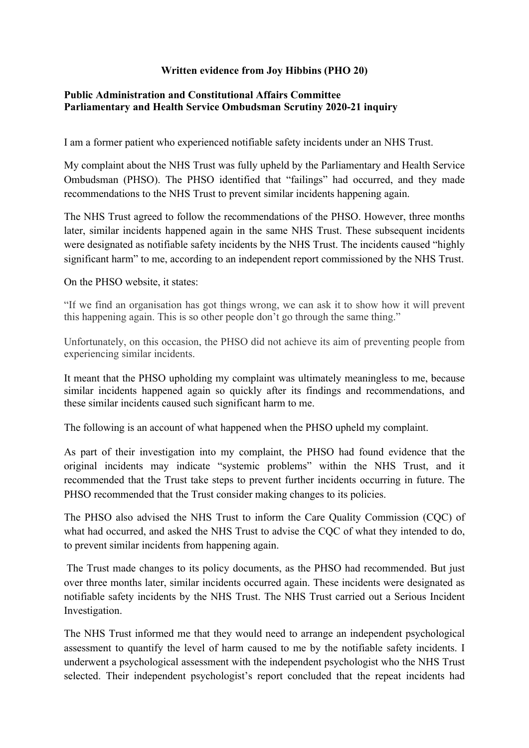## **Written evidence from Joy Hibbins (PHO 20)**

## **[Public](https://admin.committees.parliament.uk/Committee/Edit/327) [Administration](https://admin.committees.parliament.uk/Committee/Edit/327) [and](https://admin.committees.parliament.uk/Committee/Edit/327) [Constitutional](https://admin.committees.parliament.uk/Committee/Edit/327) [Affairs](https://admin.committees.parliament.uk/Committee/Edit/327) [Committee](https://admin.committees.parliament.uk/Committee/Edit/327) [Parliamentary](https://admin.committees.parliament.uk/Committee/327/CommitteeBusiness/Edit/1503) [and](https://admin.committees.parliament.uk/Committee/327/CommitteeBusiness/Edit/1503) [Health](https://admin.committees.parliament.uk/Committee/327/CommitteeBusiness/Edit/1503) [Service](https://admin.committees.parliament.uk/Committee/327/CommitteeBusiness/Edit/1503) [Ombudsman](https://admin.committees.parliament.uk/Committee/327/CommitteeBusiness/Edit/1503) [Scrutiny](https://admin.committees.parliament.uk/Committee/327/CommitteeBusiness/Edit/1503) [2020-21](https://admin.committees.parliament.uk/Committee/327/CommitteeBusiness/Edit/1503) inquiry**

I am a former patient who experienced notifiable safety incidents under an NHS Trust.

My complaint about the NHS Trust was fully upheld by the Parliamentary and Health Service Ombudsman (PHSO). The PHSO identified that "failings" had occurred, and they made recommendations to the NHS Trust to prevent similar incidents happening again.

The NHS Trust agreed to follow the recommendations of the PHSO. However, three months later, similar incidents happened again in the same NHS Trust. These subsequent incidents were designated as notifiable safety incidents by the NHS Trust. The incidents caused "highly significant harm" to me, according to an independent report commissioned by the NHS Trust.

On the PHSO website, it states:

"If we find an organisation has got things wrong, we can ask it to show how it will prevent this happening again. This is so other people don't go through the same thing."

Unfortunately, on this occasion, the PHSO did not achieve its aim of preventing people from experiencing similar incidents.

It meant that the PHSO upholding my complaint was ultimately meaningless to me, because similar incidents happened again so quickly after its findings and recommendations, and these similar incidents caused such significant harm to me.

The following is an account of what happened when the PHSO upheld my complaint.

As part of their investigation into my complaint, the PHSO had found evidence that the original incidents may indicate "systemic problems" within the NHS Trust, and it recommended that the Trust take steps to prevent further incidents occurring in future. The PHSO recommended that the Trust consider making changes to its policies.

The PHSO also advised the NHS Trust to inform the Care Quality Commission (CQC) of what had occurred, and asked the NHS Trust to advise the COC of what they intended to do, to prevent similar incidents from happening again.

The Trust made changes to its policy documents, as the PHSO had recommended. But just over three months later, similar incidents occurred again. These incidents were designated as notifiable safety incidents by the NHS Trust. The NHS Trust carried out a Serious Incident Investigation.

The NHS Trust informed me that they would need to arrange an independent psychological assessment to quantify the level of harm caused to me by the notifiable safety incidents. I underwent a psychological assessment with the independent psychologist who the NHS Trust selected. Their independent psychologist's report concluded that the repeat incidents had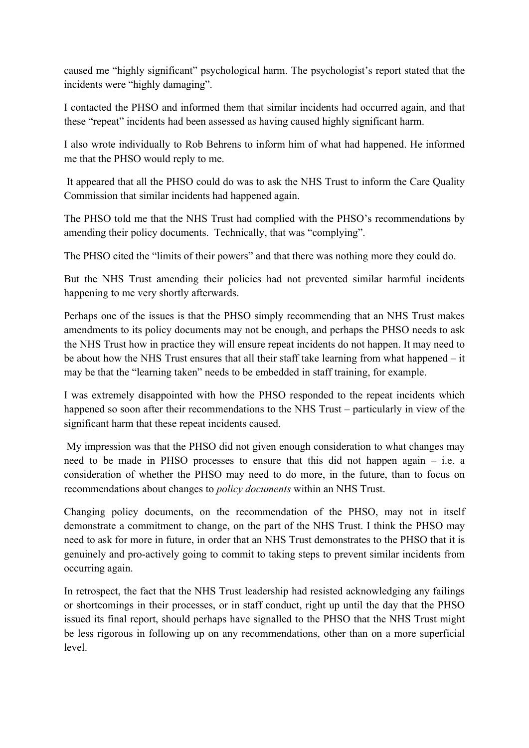caused me "highly significant" psychological harm. The psychologist's report stated that the incidents were "highly damaging".

I contacted the PHSO and informed them that similar incidents had occurred again, and that these "repeat" incidents had been assessed as having caused highly significant harm.

I also wrote individually to Rob Behrens to inform him of what had happened. He informed me that the PHSO would reply to me.

It appeared that all the PHSO could do was to ask the NHS Trust to inform the Care Quality Commission that similar incidents had happened again.

The PHSO told me that the NHS Trust had complied with the PHSO's recommendations by amending their policy documents. Technically, that was "complying".

The PHSO cited the "limits of their powers" and that there was nothing more they could do.

But the NHS Trust amending their policies had not prevented similar harmful incidents happening to me very shortly afterwards.

Perhaps one of the issues is that the PHSO simply recommending that an NHS Trust makes amendments to its policy documents may not be enough, and perhaps the PHSO needs to ask the NHS Trust how in practice they will ensure repeat incidents do not happen. It may need to be about how the NHS Trust ensures that all their staff take learning from what happened – it may be that the "learning taken" needs to be embedded in staff training, for example.

I was extremely disappointed with how the PHSO responded to the repeat incidents which happened so soon after their recommendations to the NHS Trust – particularly in view of the significant harm that these repeat incidents caused.

My impression was that the PHSO did not given enough consideration to what changes may need to be made in PHSO processes to ensure that this did not happen again – i.e. a consideration of whether the PHSO may need to do more, in the future, than to focus on recommendations about changes to *policy documents* within an NHS Trust.

Changing policy documents, on the recommendation of the PHSO, may not in itself demonstrate a commitment to change, on the part of the NHS Trust. I think the PHSO may need to ask for more in future, in order that an NHS Trust demonstrates to the PHSO that it is genuinely and pro-actively going to commit to taking steps to prevent similar incidents from occurring again.

In retrospect, the fact that the NHS Trust leadership had resisted acknowledging any failings or shortcomings in their processes, or in staff conduct, right up until the day that the PHSO issued its final report, should perhaps have signalled to the PHSO that the NHS Trust might be less rigorous in following up on any recommendations, other than on a more superficial level.